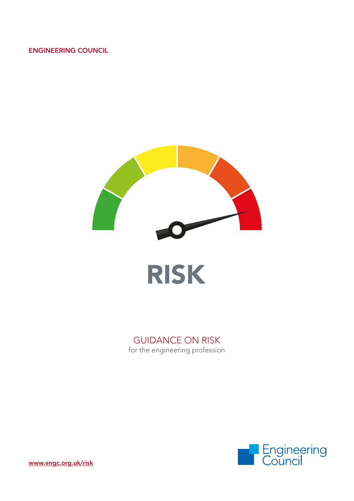#### ENGINEERING COUNCIL



## GUIDANCE ON RISK

for the engineering profession

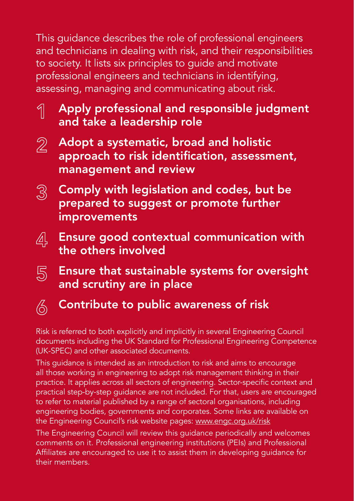This guidance describes the role of professional engineers and technicians in dealing with risk, and their responsibilities to society. It lists six principles to guide and motivate professional engineers and technicians in identifying, assessing, managing and communicating about risk.

- 1 Apply professional and responsible judgment and take a leadership role
- $\mathbb{Z}$  Adopt a systematic, broad and holistic approach to risk identification, assessment, management and review
- $\mathbb{S}^3$  Comply with legislation and codes, but be prepared to suggest or promote further improvements
- $\mathbb{A}^{\mathbb{C}}_n$  Ensure good contextual communication with the others involved
- $\overline{\mathbb{S}}$  Ensure that sustainable systems for oversight and scrutiny are in place
- 

# $\textcircled{\tiny{\wedge}}$  Contribute to public awareness of risk

Risk is referred to both explicitly and implicitly in several Engineering Council documents including the UK Standard for Professional Engineering Competence (UK-SPEC) and other associated documents.

This guidance is intended as an introduction to risk and aims to encourage all those working in engineering to adopt risk management thinking in their practice. It applies across all sectors of engineering. Sector-specific context and practical step-by-step guidance are not included. For that, users are encouraged to refer to material published by a range of sectoral organisations, including engineering bodies, governments and corporates. Some links are available on the Engineering Council's risk website pages: [www.engc.org.uk/risk](http://www.engc.org.uk/risk)

The Engineering Council will review this guidance periodically and welcomes comments on it. Professional engineering institutions (PEIs) and Professional Affiliates are encouraged to use it to assist them in developing guidance for their members.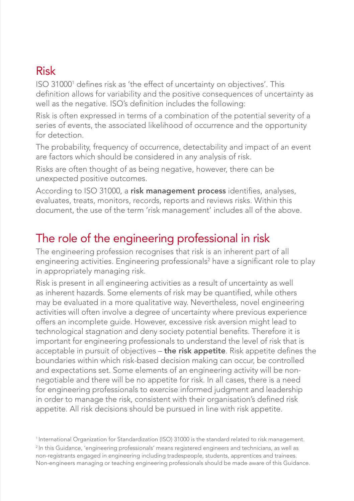## Risk

ISO 310001 defines risk as 'the effect of uncertainty on objectives'. This definition allows for variability and the positive consequences of uncertainty as well as the negative. ISO's definition includes the following:

Risk is often expressed in terms of a combination of the potential severity of a series of events, the associated likelihood of occurrence and the opportunity for detection.

The probability, frequency of occurrence, detectability and impact of an event are factors which should be considered in any analysis of risk.

Risks are often thought of as being negative, however, there can be unexpected positive outcomes.

According to ISO 31000, a risk management process identifies, analyses, evaluates, treats, monitors, records, reports and reviews risks. Within this document, the use of the term 'risk management' includes all of the above.

## The role of the engineering professional in risk

The engineering profession recognises that risk is an inherent part of all engineering activities. Engineering professionals<sup>2</sup> have a significant role to play in appropriately managing risk.

Risk is present in all engineering activities as a result of uncertainty as well as inherent hazards. Some elements of risk may be quantified, while others may be evaluated in a more qualitative way. Nevertheless, novel engineering activities will often involve a degree of uncertainty where previous experience offers an incomplete guide. However, excessive risk aversion might lead to technological stagnation and deny society potential benefits. Therefore it is important for engineering professionals to understand the level of risk that is acceptable in pursuit of objectives – the risk appetite. Risk appetite defines the boundaries within which risk-based decision making can occur, be controlled and expectations set. Some elements of an engineering activity will be nonnegotiable and there will be no appetite for risk. In all cases, there is a need for engineering professionals to exercise informed judgment and leadership in order to manage the risk, consistent with their organisation's defined risk appetite. All risk decisions should be pursued in line with risk appetite.

1 International Organization for Standardization (ISO) 31000 is the standard related to risk management. <sup>2</sup> In this Guidance, 'engineering professionals' means registered engineers and technicians, as well as non-registrants engaged in engineering including tradespeople, students, apprentices and trainees. Non-engineers managing or teaching engineering professionals should be made aware of this Guidance.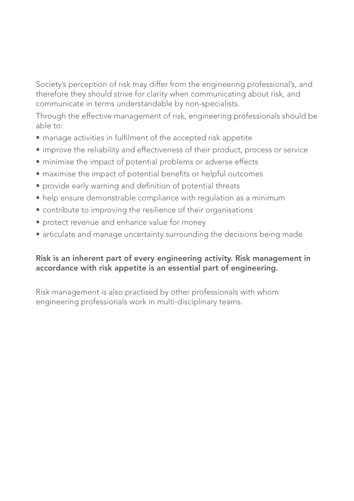Society's perception of risk may differ from the engineering professional's, and therefore they should strive for clarity when communicating about risk, and communicate in terms understandable by non-specialists.

Through the effective management of risk, engineering professionals should be able to:

- manage activities in fulfilment of the accepted risk appetite
- improve the reliability and effectiveness of their product, process or service
- minimise the impact of potential problems or adverse effects
- maximise the impact of potential benefits or helpful outcomes
- provide early warning and definition of potential threats
- help ensure demonstrable compliance with regulation as a minimum
- contribute to improving the resilience of their organisations
- protect revenue and enhance value for money
- articulate and manage uncertainty surrounding the decisions being made

#### Risk is an inherent part of every engineering activity. Risk management in accordance with risk appetite is an essential part of engineering.

Risk management is also practised by other professionals with whom engineering professionals work in multi-disciplinary teams.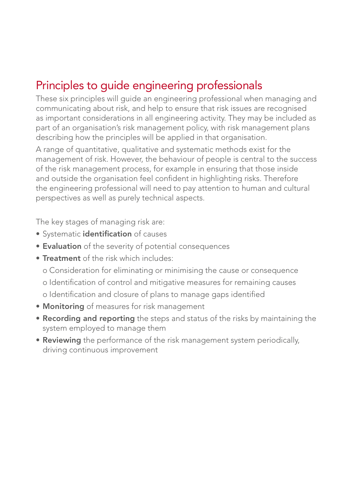# Principles to guide engineering professionals

These six principles will guide an engineering professional when managing and communicating about risk, and help to ensure that risk issues are recognised as important considerations in all engineering activity. They may be included as part of an organisation's risk management policy, with risk management plans describing how the principles will be applied in that organisation.

A range of quantitative, qualitative and systematic methods exist for the management of risk. However, the behaviour of people is central to the success of the risk management process, for example in ensuring that those inside and outside the organisation feel confident in highlighting risks. Therefore the engineering professional will need to pay attention to human and cultural perspectives as well as purely technical aspects.

The key stages of managing risk are:

- Systematic identification of causes
- Evaluation of the severity of potential consequences
- Treatment of the risk which includes:
	- o Consideration for eliminating or minimising the cause or consequence
	- o Identification of control and mitigative measures for remaining causes
	- o Identification and closure of plans to manage gaps identified
- Monitoring of measures for risk management
- Recording and reporting the steps and status of the risks by maintaining the system employed to manage them
- Reviewing the performance of the risk management system periodically, driving continuous improvement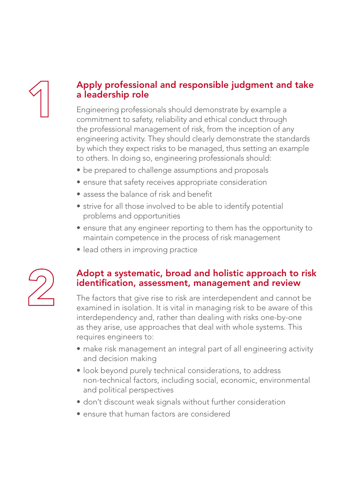# 1

### Apply professional and responsible judgment and take a leadership role

Engineering professionals should demonstrate by example a commitment to safety, reliability and ethical conduct through the professional management of risk, from the inception of any engineering activity. They should clearly demonstrate the standards by which they expect risks to be managed, thus setting an example to others. In doing so, engineering professionals should:

- be prepared to challenge assumptions and proposals
- ensure that safety receives appropriate consideration
- assess the balance of risk and benefit
- strive for all those involved to be able to identify potential problems and opportunities
- ensure that any engineer reporting to them has the opportunity to maintain competence in the process of risk management
- lead others in improving practice



#### Adopt a systematic, broad and holistic approach to risk identification, assessment, management and review

The factors that give rise to risk are interdependent and cannot be examined in isolation. It is vital in managing risk to be aware of this interdependency and, rather than dealing with risks one-by-one as they arise, use approaches that deal with whole systems. This requires engineers to:

- make risk management an integral part of all engineering activity and decision making
- look beyond purely technical considerations, to address non-technical factors, including social, economic, environmental and political perspectives
- don't discount weak signals without further consideration
- ensure that human factors are considered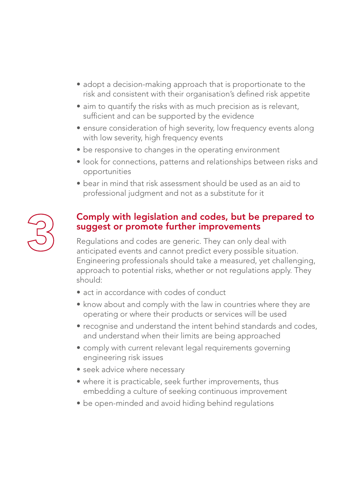- adopt a decision-making approach that is proportionate to the risk and consistent with their organisation's defined risk appetite
- aim to quantify the risks with as much precision as is relevant, sufficient and can be supported by the evidence
- ensure consideration of high severity, low frequency events along with low severity, high frequency events
- be responsive to changes in the operating environment
- look for connections, patterns and relationships between risks and opportunities
- bear in mind that risk assessment should be used as an aid to professional judgment and not as a substitute for it



#### Comply with legislation and codes, but be prepared to suggest or promote further improvements

Regulations and codes are generic. They can only deal with anticipated events and cannot predict every possible situation. Engineering professionals should take a measured, yet challenging, approach to potential risks, whether or not regulations apply. They should:

- act in accordance with codes of conduct
- know about and comply with the law in countries where they are operating or where their products or services will be used
- recognise and understand the intent behind standards and codes, and understand when their limits are being approached
- comply with current relevant legal requirements governing engineering risk issues
- seek advice where necessary
- where it is practicable, seek further improvements, thus embedding a culture of seeking continuous improvement
- be open-minded and avoid hiding behind regulations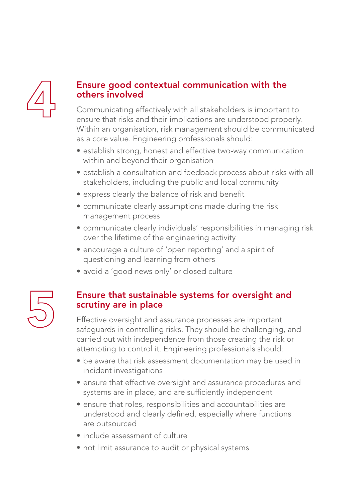

#### Ensure good contextual communication with the others involved

Communicating effectively with all stakeholders is important to ensure that risks and their implications are understood properly. Within an organisation, risk management should be communicated as a core value. Engineering professionals should:

- establish strong, honest and effective two-way communication within and beyond their organisation
- establish a consultation and feedback process about risks with all stakeholders, including the public and local community
- express clearly the balance of risk and benefit
- communicate clearly assumptions made during the risk management process
- communicate clearly individuals' responsibilities in managing risk over the lifetime of the engineering activity
- encourage a culture of 'open reporting' and a spirit of questioning and learning from others
- avoid a 'good news only' or closed culture

#### Ensure that sustainable systems for oversight and scrutiny are in place

Effective oversight and assurance processes are important safeguards in controlling risks. They should be challenging, and carried out with independence from those creating the risk or attempting to control it. Engineering professionals should:

- be aware that risk assessment documentation may be used in incident investigations
- ensure that effective oversight and assurance procedures and systems are in place, and are sufficiently independent
- ensure that roles, responsibilities and accountabilities are understood and clearly defined, especially where functions are outsourced
- include assessment of culture
- not limit assurance to audit or physical systems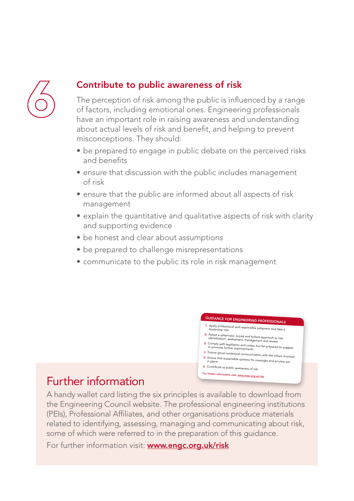

### Contribute to public awareness of risk

The perception of risk among the public is influenced by a range of factors, including emotional ones. Engineering professionals have an important role in raising awareness and understanding about actual levels of risk and benefit, and helping to prevent misconceptions. They should:

- be prepared to engage in public debate on the perceived risks and benefits
- ensure that discussion with the public includes management of risk
- ensure that the public are informed about all aspects of risk management
- explain the quantitative and qualitative aspects of risk with clarity and supporting evidence
- be honest and clear about assumptions
- be prepared to challenge misrepresentations
- communicate to the public its role in risk management

#### GUIDANCE FOR ENGINEERING PROFESSIONALS

- <sup>1</sup>. Apply professional and responsible judgment and take a leadership role
- 2 Adopt a systematic, broad and holistic approach to risk<br>identification, assessment, management and review
- 8. Comply with legislation and codes, but be prepared to suggest<br>or promote further improvements
- <sup>4</sup>. Ensure good contextual communication with the others involved
- <sup>5</sup>. Ensure that sustainable systems for oversight and scrutiny are in place

#### <sup>6</sup>. Contribute to public awareness of risk For further information visit: www.engc.org.uk/risk

## Further information

A handy wallet card listing the six principles is available to download from the Engineering Council website. The professional engineering institutions (PEIs), Professional Affiliates, and other organisations produce materials related to identifying, assessing, managing and communicating about risk, some of which were referred to in the preparation of this guidance.

For further information visit: **[www.engc.org.uk/risk](http://www.engc.org.uk/risk)**